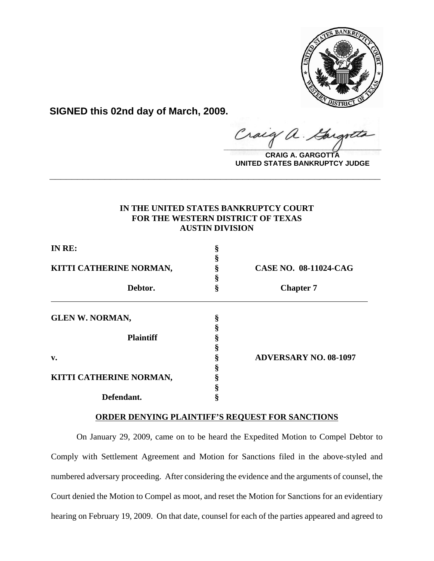

**SIGNED this 02nd day of March, 2009.**

raig  $\frac{1}{2}$ 

**CRAIG A. GARGOTTA UNITED STATES BANKRUPTCY JUDGE**

## **IN THE UNITED STATES BANKRUPTCY COURT FOR THE WESTERN DISTRICT OF TEXAS AUSTIN DIVISION**

**\_\_\_\_\_\_\_\_\_\_\_\_\_\_\_\_\_\_\_\_\_\_\_\_\_\_\_\_\_\_\_\_\_\_\_\_\_\_\_\_\_\_\_\_\_\_\_\_\_\_\_\_\_\_\_\_\_\_\_\_**

| IN RE:<br>KITTI CATHERINE NORMAN,<br>Debtor. | ş           | <b>CASE NO. 08-11024-CAG</b><br><b>Chapter 7</b> |                        |   |  |
|----------------------------------------------|-------------|--------------------------------------------------|------------------------|---|--|
|                                              | ş<br>ş<br>ş |                                                  |                        |   |  |
|                                              |             |                                                  | <b>GLEN W. NORMAN,</b> | ş |  |
|                                              |             |                                                  |                        |   |  |
|                                              |             |                                                  | <b>Plaintiff</b>       |   |  |
|                                              |             |                                                  |                        |   |  |
|                                              |             |                                                  |                        |   |  |
| v.                                           |             | <b>ADVERSARY NO. 08-1097</b>                     |                        |   |  |
|                                              | ş           |                                                  |                        |   |  |
| KITTI CATHERINE NORMAN,                      |             |                                                  |                        |   |  |
|                                              |             |                                                  |                        |   |  |
| Defendant.                                   | ş           |                                                  |                        |   |  |

## **ORDER DENYING PLAINTIFF'S REQUEST FOR SANCTIONS**

On January 29, 2009, came on to be heard the Expedited Motion to Compel Debtor to Comply with Settlement Agreement and Motion for Sanctions filed in the above-styled and numbered adversary proceeding. After considering the evidence and the arguments of counsel, the Court denied the Motion to Compel as moot, and reset the Motion for Sanctions for an evidentiary hearing on February 19, 2009. On that date, counsel for each of the parties appeared and agreed to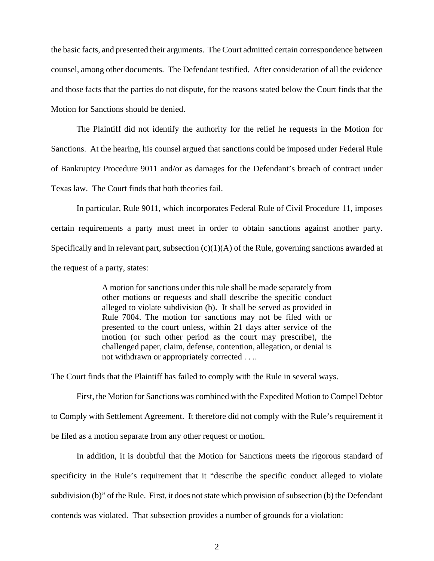the basic facts, and presented their arguments. The Court admitted certain correspondence between counsel, among other documents. The Defendant testified. After consideration of all the evidence and those facts that the parties do not dispute, for the reasons stated below the Court finds that the Motion for Sanctions should be denied.

The Plaintiff did not identify the authority for the relief he requests in the Motion for Sanctions. At the hearing, his counsel argued that sanctions could be imposed under Federal Rule of Bankruptcy Procedure 9011 and/or as damages for the Defendant's breach of contract under Texas law. The Court finds that both theories fail.

In particular, Rule 9011, which incorporates Federal Rule of Civil Procedure 11, imposes certain requirements a party must meet in order to obtain sanctions against another party. Specifically and in relevant part, subsection  $(c)(1)(A)$  of the Rule, governing sanctions awarded at the request of a party, states:

> A motion for sanctions under this rule shall be made separately from other motions or requests and shall describe the specific conduct alleged to violate subdivision (b). It shall be served as provided in Rule 7004. The motion for sanctions may not be filed with or presented to the court unless, within 21 days after service of the motion (or such other period as the court may prescribe), the challenged paper, claim, defense, contention, allegation, or denial is not withdrawn or appropriately corrected . . ..

The Court finds that the Plaintiff has failed to comply with the Rule in several ways.

First, the Motion for Sanctions was combined with the Expedited Motion to Compel Debtor to Comply with Settlement Agreement. It therefore did not comply with the Rule's requirement it be filed as a motion separate from any other request or motion.

In addition, it is doubtful that the Motion for Sanctions meets the rigorous standard of specificity in the Rule's requirement that it "describe the specific conduct alleged to violate subdivision (b)" of the Rule. First, it does not state which provision of subsection (b) the Defendant contends was violated. That subsection provides a number of grounds for a violation: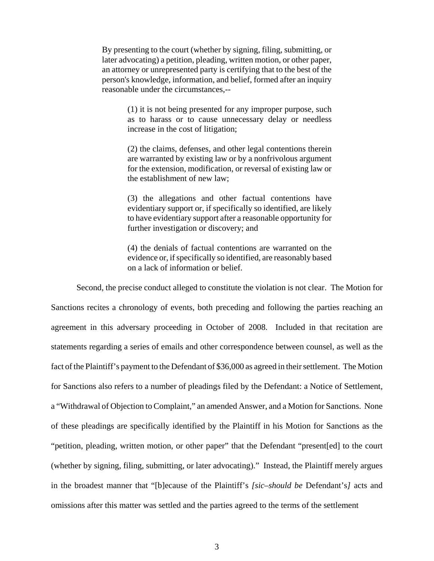By presenting to the court (whether by signing, filing, submitting, or later advocating) a petition, pleading, written motion, or other paper, an attorney or unrepresented party is certifying that to the best of the person's knowledge, information, and belief, formed after an inquiry reasonable under the circumstances,--

> (1) it is not being presented for any improper purpose, such as to harass or to cause unnecessary delay or needless increase in the cost of litigation;

> (2) the claims, defenses, and other legal contentions therein are warranted by existing law or by a nonfrivolous argument for the extension, modification, or reversal of existing law or the establishment of new law;

> (3) the allegations and other factual contentions have evidentiary support or, if specifically so identified, are likely to have evidentiary support after a reasonable opportunity for further investigation or discovery; and

> (4) the denials of factual contentions are warranted on the evidence or, if specifically so identified, are reasonably based on a lack of information or belief.

Second, the precise conduct alleged to constitute the violation is not clear. The Motion for Sanctions recites a chronology of events, both preceding and following the parties reaching an agreement in this adversary proceeding in October of 2008. Included in that recitation are statements regarding a series of emails and other correspondence between counsel, as well as the fact of the Plaintiff's payment to the Defendant of \$36,000 as agreed in their settlement. The Motion for Sanctions also refers to a number of pleadings filed by the Defendant: a Notice of Settlement, a "Withdrawal of Objection to Complaint," an amended Answer, and a Motion for Sanctions. None of these pleadings are specifically identified by the Plaintiff in his Motion for Sanctions as the "petition, pleading, written motion, or other paper" that the Defendant "present[ed] to the court (whether by signing, filing, submitting, or later advocating)." Instead, the Plaintiff merely argues in the broadest manner that "[b]ecause of the Plaintiff's *[sic–should be* Defendant's*]* acts and omissions after this matter was settled and the parties agreed to the terms of the settlement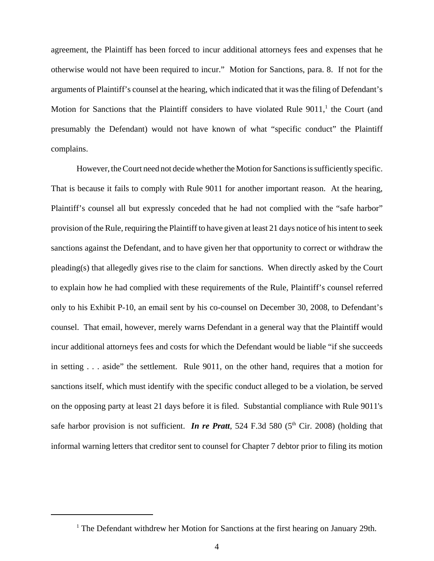agreement, the Plaintiff has been forced to incur additional attorneys fees and expenses that he otherwise would not have been required to incur." Motion for Sanctions, para. 8. If not for the arguments of Plaintiff's counsel at the hearing, which indicated that it was the filing of Defendant's Motion for Sanctions that the Plaintiff considers to have violated Rule  $9011$ ,<sup>1</sup> the Court (and presumably the Defendant) would not have known of what "specific conduct" the Plaintiff complains.

However, the Court need not decide whether the Motion for Sanctions is sufficiently specific. That is because it fails to comply with Rule 9011 for another important reason. At the hearing, Plaintiff's counsel all but expressly conceded that he had not complied with the "safe harbor" provision of the Rule, requiring the Plaintiff to have given at least 21 days notice of his intent to seek sanctions against the Defendant, and to have given her that opportunity to correct or withdraw the pleading(s) that allegedly gives rise to the claim for sanctions. When directly asked by the Court to explain how he had complied with these requirements of the Rule, Plaintiff's counsel referred only to his Exhibit P-10, an email sent by his co-counsel on December 30, 2008, to Defendant's counsel. That email, however, merely warns Defendant in a general way that the Plaintiff would incur additional attorneys fees and costs for which the Defendant would be liable "if she succeeds in setting . . . aside" the settlement. Rule 9011, on the other hand, requires that a motion for sanctions itself, which must identify with the specific conduct alleged to be a violation, be served on the opposing party at least 21 days before it is filed. Substantial compliance with Rule 9011's safe harbor provision is not sufficient. *In re Pratt*, 524 F.3d 580 (5<sup>th</sup> Cir. 2008) (holding that informal warning letters that creditor sent to counsel for Chapter 7 debtor prior to filing its motion

<sup>&</sup>lt;sup>1</sup> The Defendant withdrew her Motion for Sanctions at the first hearing on January 29th.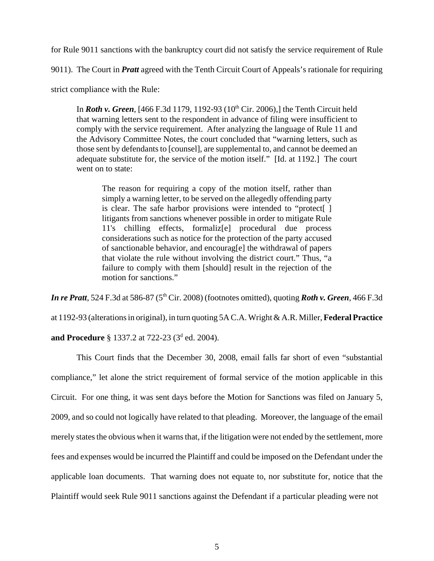for Rule 9011 sanctions with the bankruptcy court did not satisfy the service requirement of Rule

9011). The Court in *Pratt* agreed with the Tenth Circuit Court of Appeals's rationale for requiring

strict compliance with the Rule:

In *Roth v. Green*, [466 F.3d 1179, 1192-93 (10<sup>th</sup> Cir. 2006),] the Tenth Circuit held that warning letters sent to the respondent in advance of filing were insufficient to comply with the service requirement. After analyzing the language of Rule 11 and the Advisory Committee Notes, the court concluded that "warning letters, such as those sent by defendants to [counsel], are supplemental to, and cannot be deemed an adequate substitute for, the service of the motion itself." [Id. at 1192.] The court went on to state:

The reason for requiring a copy of the motion itself, rather than simply a warning letter, to be served on the allegedly offending party is clear. The safe harbor provisions were intended to "protect[ ] litigants from sanctions whenever possible in order to mitigate Rule 11's chilling effects, formaliz[e] procedural due process considerations such as notice for the protection of the party accused of sanctionable behavior, and encourag[e] the withdrawal of papers that violate the rule without involving the district court." Thus, "a failure to comply with them [should] result in the rejection of the motion for sanctions."

*In re Pratt*, 524 F.3d at 586-87 (5<sup>th</sup> Cir. 2008) (footnotes omitted), quoting *Roth v. Green*, 466 F.3d at 1192-93 (alterations in original), in turn quoting 5A C.A. Wright & A.R. Miller, **Federal Practice and Procedure** § 1337.2 at 722-23 (3<sup>d</sup> ed. 2004).

This Court finds that the December 30, 2008, email falls far short of even "substantial compliance," let alone the strict requirement of formal service of the motion applicable in this Circuit. For one thing, it was sent days before the Motion for Sanctions was filed on January 5, 2009, and so could not logically have related to that pleading. Moreover, the language of the email merely states the obvious when it warns that, if the litigation were not ended by the settlement, more fees and expenses would be incurred the Plaintiff and could be imposed on the Defendant under the applicable loan documents. That warning does not equate to, nor substitute for, notice that the Plaintiff would seek Rule 9011 sanctions against the Defendant if a particular pleading were not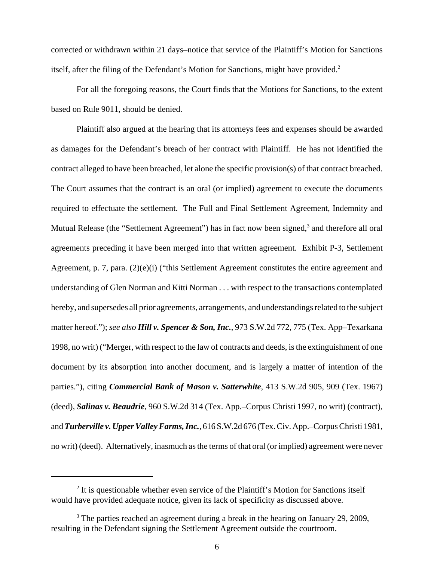corrected or withdrawn within 21 days–notice that service of the Plaintiff's Motion for Sanctions itself, after the filing of the Defendant's Motion for Sanctions, might have provided. $2$ 

For all the foregoing reasons, the Court finds that the Motions for Sanctions, to the extent based on Rule 9011, should be denied.

Plaintiff also argued at the hearing that its attorneys fees and expenses should be awarded as damages for the Defendant's breach of her contract with Plaintiff. He has not identified the contract alleged to have been breached, let alone the specific provision(s) of that contract breached. The Court assumes that the contract is an oral (or implied) agreement to execute the documents required to effectuate the settlement. The Full and Final Settlement Agreement, Indemnity and Mutual Release (the "Settlement Agreement") has in fact now been signed,<sup>3</sup> and therefore all oral agreements preceding it have been merged into that written agreement. Exhibit P-3, Settlement Agreement, p. 7, para. (2)(e)(i) ("this Settlement Agreement constitutes the entire agreement and understanding of Glen Norman and Kitti Norman . . . with respect to the transactions contemplated hereby, and supersedes all prior agreements, arrangements, and understandings related to the subject matter hereof."); *see also Hill v. Spencer & Son, Inc.*, 973 S.W.2d 772, 775 (Tex. App–Texarkana 1998, no writ) ("Merger, with respect to the law of contracts and deeds, is the extinguishment of one document by its absorption into another document, and is largely a matter of intention of the parties."), citing *Commercial Bank of Mason v. Satterwhite*, 413 S.W.2d 905, 909 (Tex. 1967) (deed), *Salinas v. Beaudrie*, 960 S.W.2d 314 (Tex. App.–Corpus Christi 1997, no writ) (contract), and *Turberville v. Upper Valley Farms, Inc.*, 616 S.W.2d 676 (Tex. Civ. App.–Corpus Christi 1981, no writ) (deed). Alternatively, inasmuch as the terms of that oral (or implied) agreement were never

<sup>&</sup>lt;sup>2</sup> It is questionable whether even service of the Plaintiff's Motion for Sanctions itself would have provided adequate notice, given its lack of specificity as discussed above.

 $3$  The parties reached an agreement during a break in the hearing on January 29, 2009, resulting in the Defendant signing the Settlement Agreement outside the courtroom.